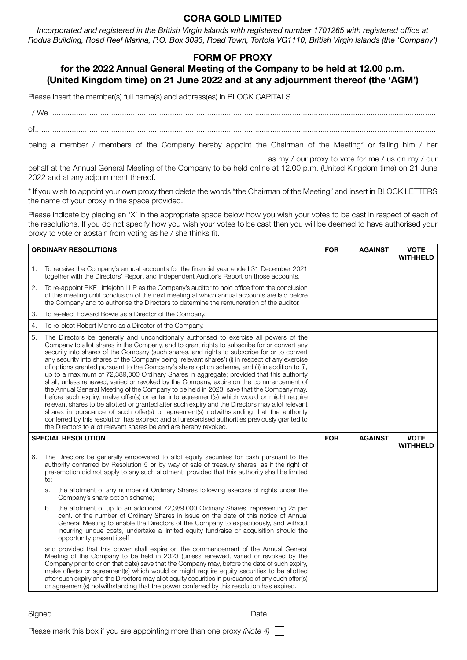## **CORA GOLD LIMITED**

*Incorporated and registered in the British Virgin Islands with registered number 1701265 with registered office at Rodus Building, Road Reef Marina, P.O. Box 3093, Road Town, Tortola VG1110, British Virgin Islands (the 'Company')*

## **FORM OF PROXY**

## **for the 2022 Annual General Meeting of the Company to be held at 12.00 p.m. (United Kingdom time) on 21 June 2022 and at any adjournment thereof (the 'AGM')**

Please insert the member(s) full name(s) and address(es) in BLOCK CAPITALS

I / We ................................................................................................................................................................................. of........................................................................................................................................................................................

being a member / members of the Company hereby appoint the Chairman of the Meeting\* or failing him / her

……………………………………………………………………….……… as my / our proxy to vote for me / us on my / our behalf at the Annual General Meeting of the Company to be held online at 12.00 p.m. (United Kingdom time) on 21 June 2022 and at any adjournment thereof.

\* If you wish to appoint your own proxy then delete the words "the Chairman of the Meeting" and insert in BLOCK LETTERS the name of your proxy in the space provided.

Please indicate by placing an 'X' in the appropriate space below how you wish your votes to be cast in respect of each of the resolutions. If you do not specify how you wish your votes to be cast then you will be deemed to have authorised your proxy to vote or abstain from voting as he / she thinks fit.

| <b>ORDINARY RESOLUTIONS</b> |                                                                                                                                                                                                                                                                                                                                                                                                                                                                                                                                                                                                                                                                                                                                                                                                                                                                                                                                                                                                                                                                                                                                                                                                                                                  | <b>FOR</b> | <b>AGAINST</b> | <b>VOTE</b><br><b>WITHHELD</b> |
|-----------------------------|--------------------------------------------------------------------------------------------------------------------------------------------------------------------------------------------------------------------------------------------------------------------------------------------------------------------------------------------------------------------------------------------------------------------------------------------------------------------------------------------------------------------------------------------------------------------------------------------------------------------------------------------------------------------------------------------------------------------------------------------------------------------------------------------------------------------------------------------------------------------------------------------------------------------------------------------------------------------------------------------------------------------------------------------------------------------------------------------------------------------------------------------------------------------------------------------------------------------------------------------------|------------|----------------|--------------------------------|
| 1.                          | To receive the Company's annual accounts for the financial year ended 31 December 2021<br>together with the Directors' Report and Independent Auditor's Report on those accounts.                                                                                                                                                                                                                                                                                                                                                                                                                                                                                                                                                                                                                                                                                                                                                                                                                                                                                                                                                                                                                                                                |            |                |                                |
| 2.                          | To re-appoint PKF Littlejohn LLP as the Company's auditor to hold office from the conclusion<br>of this meeting until conclusion of the next meeting at which annual accounts are laid before<br>the Company and to authorise the Directors to determine the remuneration of the auditor.                                                                                                                                                                                                                                                                                                                                                                                                                                                                                                                                                                                                                                                                                                                                                                                                                                                                                                                                                        |            |                |                                |
| 3.                          | To re-elect Edward Bowie as a Director of the Company.                                                                                                                                                                                                                                                                                                                                                                                                                                                                                                                                                                                                                                                                                                                                                                                                                                                                                                                                                                                                                                                                                                                                                                                           |            |                |                                |
| 4.                          | To re-elect Robert Monro as a Director of the Company.                                                                                                                                                                                                                                                                                                                                                                                                                                                                                                                                                                                                                                                                                                                                                                                                                                                                                                                                                                                                                                                                                                                                                                                           |            |                |                                |
| 5.                          | The Directors be generally and unconditionally authorised to exercise all powers of the<br>Company to allot shares in the Company, and to grant rights to subscribe for or convert any<br>security into shares of the Company (such shares, and rights to subscribe for or to convert<br>any security into shares of the Company being 'relevant shares') (i) in respect of any exercise<br>of options granted pursuant to the Company's share option scheme, and (ii) in addition to (i),<br>up to a maximum of 72,389,000 Ordinary Shares in aggregate; provided that this authority<br>shall, unless renewed, varied or revoked by the Company, expire on the commencement of<br>the Annual General Meeting of the Company to be held in 2023, save that the Company may,<br>before such expiry, make offer(s) or enter into agreement(s) which would or might require<br>relevant shares to be allotted or granted after such expiry and the Directors may allot relevant<br>shares in pursuance of such offer(s) or agreement(s) notwithstanding that the authority<br>conferred by this resolution has expired; and all unexercised authorities previously granted to<br>the Directors to allot relevant shares be and are hereby revoked. |            |                |                                |
| <b>SPECIAL RESOLUTION</b>   |                                                                                                                                                                                                                                                                                                                                                                                                                                                                                                                                                                                                                                                                                                                                                                                                                                                                                                                                                                                                                                                                                                                                                                                                                                                  | <b>FOR</b> | <b>AGAINST</b> | <b>VOTE</b><br><b>WITHHELD</b> |
| 6.                          | The Directors be generally empowered to allot equity securities for cash pursuant to the<br>authority conferred by Resolution 5 or by way of sale of treasury shares, as if the right of<br>pre-emption did not apply to any such allotment; provided that this authority shall be limited<br>to:                                                                                                                                                                                                                                                                                                                                                                                                                                                                                                                                                                                                                                                                                                                                                                                                                                                                                                                                                |            |                |                                |
|                             | the allotment of any number of Ordinary Shares following exercise of rights under the<br>a.<br>Company's share option scheme;                                                                                                                                                                                                                                                                                                                                                                                                                                                                                                                                                                                                                                                                                                                                                                                                                                                                                                                                                                                                                                                                                                                    |            |                |                                |
|                             | the allotment of up to an additional 72,389,000 Ordinary Shares, representing 25 per<br>b.<br>cent. of the number of Ordinary Shares in issue on the date of this notice of Annual<br>General Meeting to enable the Directors of the Company to expeditiously, and without<br>incurring undue costs, undertake a limited equity fundraise or acquisition should the<br>opportunity present itself                                                                                                                                                                                                                                                                                                                                                                                                                                                                                                                                                                                                                                                                                                                                                                                                                                                |            |                |                                |
|                             | and provided that this power shall expire on the commencement of the Annual General<br>Meeting of the Company to be held in 2023 (unless renewed, varied or revoked by the<br>Company prior to or on that date) save that the Company may, before the date of such expiry,<br>make offer(s) or agreement(s) which would or might require equity securities to be allotted<br>after such expiry and the Directors may allot equity securities in pursuance of any such offer(s)<br>or agreement(s) notwithstanding that the power conferred by this resolution has expired.                                                                                                                                                                                                                                                                                                                                                                                                                                                                                                                                                                                                                                                                       |            |                |                                |

Signed. …………………………………………………….. Date .............................................................................

Please mark this box if you are appointing more than one proxy *(Note 4)*